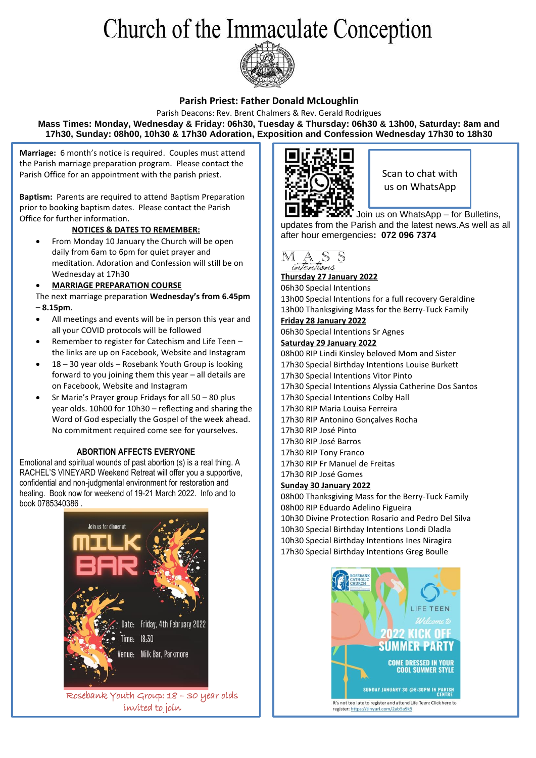# Church of the Immaculate Conception



## **Parish Priest: Father Donald McLoughlin**

Parish Deacons: Rev. Brent Chalmers & Rev. Gerald Rodrigues **Mass Times: Monday, Wednesday & Friday: 06h30, Tuesday & Thursday: 06h30 & 13h00, Saturday: 8am and 17h30, Sunday: 08h00, 10h30 & 17h30 Adoration, Exposition and Confession Wednesday 17h30 to 18h30**

**Marriage:** 6 month's notice is required. Couples must attend the Parish marriage preparation program. Please contact the Parish Office for an appointment with the parish priest.

**Baptism:** Parents are required to attend Baptism Preparation prior to booking baptism dates. Please contact the Parish Office for further information.

### **NOTICES & DATES TO REMEMBER:**

• From Monday 10 January the Church will be open daily from 6am to 6pm for quiet prayer and meditation. Adoration and Confession will still be on Wednesday at 17h30

### • **MARRIAGE PREPARATION COURSE**

The next marriage preparation **Wednesday's from 6.45pm – 8.15pm**.

- All meetings and events will be in person this year and all your COVID protocols will be followed
- Remember to register for Catechism and Life Teen the links are up on Facebook, Website and Instagram
- 18 30 year olds Rosebank Youth Group is looking forward to you joining them this year – all details are on Facebook, Website and Instagram
- Sr Marie's Prayer group Fridays for all 50 80 plus year olds. 10h00 for 10h30 – reflecting and sharing the Word of God especially the Gospel of the week ahead. No commitment required come see for yourselves.

#### **ABORTION AFFECTS EVERYONE**

Emotional and spiritual wounds of past abortion (s) is a real thing. A RACHEL'S VINEYARD Weekend Retreat will offer you a supportive, confidential and non-judgmental environment for restoration and healing. Book now for weekend of 19-21 March 2022. Info and to book 0785340386 .



Rosebank Youth Group: 18 – 30 year olds invited to join



Scan to chat with us on WhatsApp

Join us on WhatsApp – for Bulletins, updates from the Parish and the latest news.As well as all after hour emergencies**: 072 096 7374**



**Thursday 27 January 2022**

06h30 Special Intentions 13h00 Special Intentions for a full recovery Geraldine 13h00 Thanksgiving Mass for the Berry-Tuck Family

## **Friday 28 January 2022**

06h30 Special Intentions Sr Agnes

**Saturday 29 January 2022**

08h00 RIP Lindi Kinsley beloved Mom and Sister 17h30 Special Birthday Intentions Louise Burkett 17h30 Special Intentions Vitor Pinto 17h30 Special Intentions Alyssia Catherine Dos Santos 17h30 Special Intentions Colby Hall 17h30 RIP Maria Louisa Ferreira 17h30 RIP Antonino Gonçalves Rocha 17h30 RIP José Pinto 17h30 RIP José Barros 17h30 RIP Tony Franco 17h30 RIP Fr Manuel de Freitas 17h30 RIP José Gomes

### **Sunday 30 January 2022**

08h00 Thanksgiving Mass for the Berry-Tuck Family 08h00 RIP Eduardo Adelino Figueira 10h30 Divine Protection Rosario and Pedro Del Silva 10h30 Special Birthday Intentions Londi Dladla 10h30 Special Birthday Intentions Ines Niragira 17h30 Special Birthday Intentions Greg Boulle